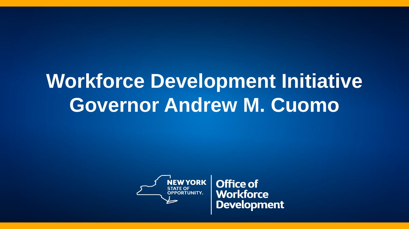# **Workforce Development Initiative Governor Andrew M. Cuomo**



**Office of Workforce Development**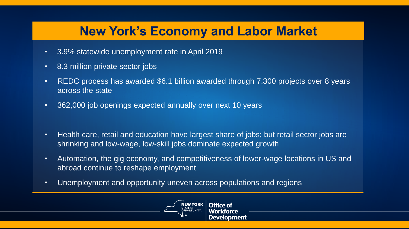## **New York's Economy and Labor Market**

- 3.9% statewide unemployment rate in April 2019
- 8.3 million private sector jobs
- REDC process has awarded \$6.1 billion awarded through 7,300 projects over 8 years across the state
- 362,000 job openings expected annually over next 10 years
- Health care, retail and education have largest share of jobs; but retail sector jobs are shrinking and low-wage, low-skill jobs dominate expected growth
- Automation, the gig economy, and competitiveness of lower-wage locations in US and abroad continue to reshape employment
- Unemployment and opportunity uneven across populations and regions

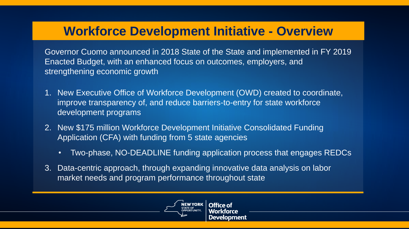### **Workforce Development Initiative - Overview**

Governor Cuomo announced in 2018 State of the State and implemented in FY 2019 Enacted Budget, with an enhanced focus on outcomes, employers, and strengthening economic growth

- 1. New Executive Office of Workforce Development (OWD) created to coordinate, improve transparency of, and reduce barriers-to-entry for state workforce development programs
- 2. New \$175 million Workforce Development Initiative Consolidated Funding Application (CFA) with funding from 5 state agencies
	- Two-phase, NO-DEADLINE funding application process that engages REDCs
- 3. Data-centric approach, through expanding innovative data analysis on labor market needs and program performance throughout state

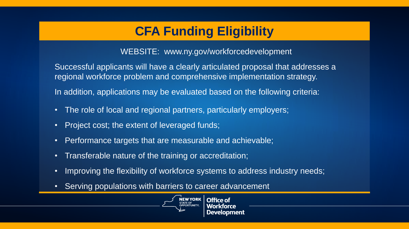# **CFA Funding Eligibility**

WEBSITE: www.ny.gov/workforcedevelopment

Successful applicants will have a clearly articulated proposal that addresses a regional workforce problem and comprehensive implementation strategy.

In addition, applications may be evaluated based on the following criteria:

- The role of local and regional partners, particularly employers;
- Project cost; the extent of leveraged funds;
- Performance targets that are measurable and achievable;
- Transferable nature of the training or accreditation;
- Improving the flexibility of workforce systems to address industry needs;
- Serving populations with barriers to career advancement

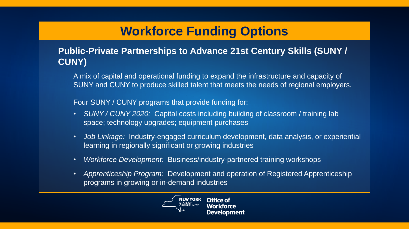## **Workforce Funding Options**

#### **Public-Private Partnerships to Advance 21st Century Skills (SUNY / CUNY)**

A mix of capital and operational funding to expand the infrastructure and capacity of SUNY and CUNY to produce skilled talent that meets the needs of regional employers.

Four SUNY / CUNY programs that provide funding for:

- *SUNY / CUNY 2020:* Capital costs including building of classroom / training lab space; technology upgrades; equipment purchases
- *Job Linkage:* Industry-engaged curriculum development, data analysis, or experiential learning in regionally significant or growing industries
- *Workforce Development:* Business/industry-partnered training workshops
- *Apprenticeship Program:* Development and operation of Registered Apprenticeship programs in growing or in-demand industries

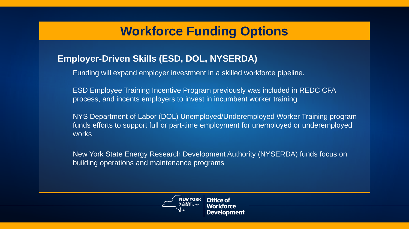### **Workforce Funding Options**

#### **Employer-Driven Skills (ESD, DOL, NYSERDA)**

Funding will expand employer investment in a skilled workforce pipeline.

ESD Employee Training Incentive Program previously was included in REDC CFA process, and incents employers to invest in incumbent worker training

NYS Department of Labor (DOL) Unemployed/Underemployed Worker Training program funds efforts to support full or part-time employment for unemployed or underemployed works

New York State Energy Research Development Authority (NYSERDA) funds focus on building operations and maintenance programs

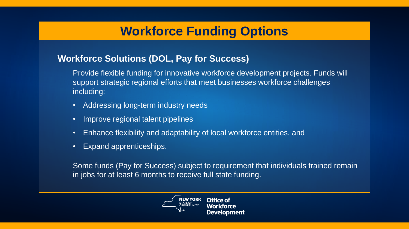### **Workforce Funding Options**

#### **Workforce Solutions (DOL, Pay for Success)**

Provide flexible funding for innovative workforce development projects. Funds will support strategic regional efforts that meet businesses workforce challenges including:

- Addressing long-term industry needs
- Improve regional talent pipelines
- Enhance flexibility and adaptability of local workforce entities, and
- Expand apprenticeships.

Some funds (Pay for Success) subject to requirement that individuals trained remain in jobs for at least 6 months to receive full state funding.

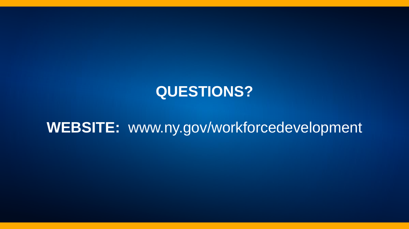# **QUESTIONS?**

# **WEBSITE:** www.ny.gov/workforcedevelopment

8